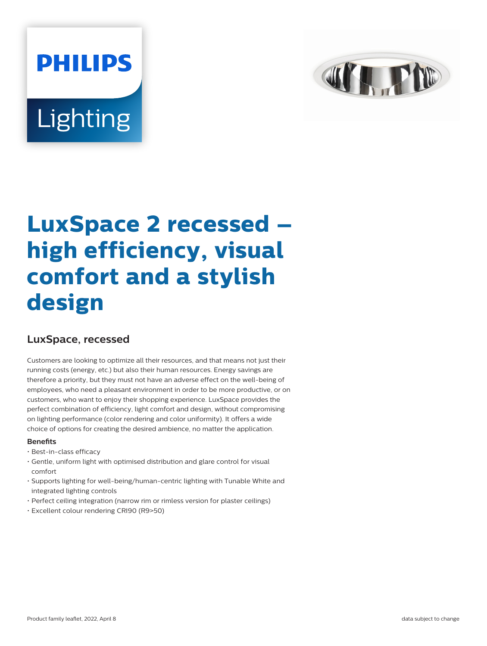# **PHILIPS** Lighting



# **LuxSpace 2 recessed – high efficiency, visual comfort and a stylish design**

# **LuxSpace, recessed**

Customers are looking to optimize all their resources, and that means not just their running costs (energy, etc.) but also their human resources. Energy savings are therefore a priority, but they must not have an adverse effect on the well-being of employees, who need a pleasant environment in order to be more productive, or on customers, who want to enjoy their shopping experience. LuxSpace provides the perfect combination of efficiency, light comfort and design, without compromising on lighting performance (color rendering and color uniformity). It offers a wide choice of options for creating the desired ambience, no matter the application.

# **Benefits**

- Best-in-class efficacy
- Gentle, uniform light with optimised distribution and glare control for visual comfort
- Supports lighting for well-being/human-centric lighting with Tunable White and integrated lighting controls
- Perfect ceiling integration (narrow rim or rimless version for plaster ceilings)
- Excellent colour rendering CRI90 (R9>50)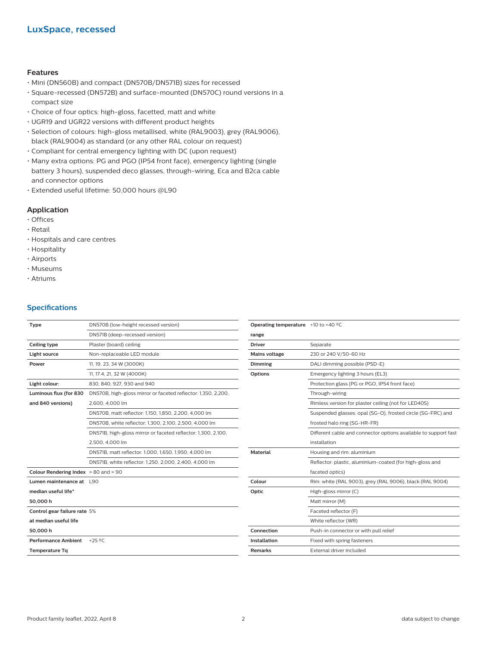# **LuxSpace, recessed**

#### **Features**

- Mini (DN560B) and compact (DN570B/DN571B) sizes for recessed
- Square-recessed (DN572B) and surface-mounted (DN570C) round versions in a compact size
- Choice of four optics: high-gloss, facetted, matt and white
- UGR19 and UGR22 versions with different product heights
- Selection of colours: high-gloss metallised, white (RAL9003), grey (RAL9006), black (RAL9004) as standard (or any other RAL colour on request)
- Compliant for central emergency lighting with DC (upon request)
- Many extra options: PG and PGO (IP54 front face), emergency lighting (single battery 3 hours), suspended deco glasses, through-wiring, Eca and B2ca cable and connector options
- Extended useful lifetime: 50,000 hours @L90

# **Application**

- Offices
- Retail
- Hospitals and care centres
- Hospitality
- Airports
- Museums
- Atriums

# **Specifications**

| Type                                     | DN570B (low-height recessed version)                          | Operating           |  |
|------------------------------------------|---------------------------------------------------------------|---------------------|--|
|                                          | DN571B (deep-recessed version)                                | range               |  |
| Ceiling type                             | Plaster (board) ceiling                                       |                     |  |
| Light source                             | Non-replaceable LED module                                    | <b>Mains volt</b>   |  |
| Power                                    | 11, 19, 23, 34 W (3000K)                                      | <b>Dimming</b>      |  |
|                                          | 11, 17.4, 21, 32 W (4000K)                                    | <b>Options</b>      |  |
| Light colour:                            | 830, 840, 927, 930 and 940                                    |                     |  |
| Luminous flux (for 830                   | DN570B, high-gloss mirror or faceted reflector: 1,350, 2,200, |                     |  |
| and 840 versions)                        | 2,600, 4,000 lm                                               |                     |  |
|                                          | DN570B, matt reflector: 1,150, 1,850, 2,200, 4,000 lm         |                     |  |
|                                          | DN570B, white reflector: 1,300, 2,100, 2,500, 4,000 lm        |                     |  |
|                                          | DN571B, high-gloss mirror or faceted reflector: 1,300, 2,100, |                     |  |
|                                          | 2,500, 4,000 lm                                               |                     |  |
|                                          | DN571B, matt reflector: 1,000, 1,650, 1,950, 4,000 lm         | <b>Material</b>     |  |
|                                          | DN571B, white reflector: 1,250, 2,000, 2,400, 4,000 lm        |                     |  |
| Colour Rendering Index $> 80$ and $> 90$ |                                                               |                     |  |
| Lumen maintenance at L90                 |                                                               | Colour              |  |
| median useful life*                      |                                                               | Optic               |  |
| 50,000h                                  |                                                               |                     |  |
| Control gear failure rate 5%             |                                                               |                     |  |
| at median useful life                    |                                                               |                     |  |
| 50,000h                                  |                                                               | Connectio           |  |
| <b>Performance Ambient</b>               | $+25$ °C                                                      | <b>Installation</b> |  |
| <b>Temperature Tg</b>                    |                                                               | <b>Remarks</b>      |  |

| <b>Operating temperature</b> $+10$ to $+40$ <sup>o</sup> C |                                                                 |
|------------------------------------------------------------|-----------------------------------------------------------------|
| range                                                      |                                                                 |
| <b>Driver</b>                                              | Separate                                                        |
| <b>Mains voltage</b>                                       | 230 or 240 V/50-60 Hz                                           |
| Dimming                                                    | DALI dimming possible (PSD-E)                                   |
| <b>Options</b>                                             | Emergency lighting 3 hours (EL3)                                |
|                                                            | Protection glass (PG or PGO, IP54 front face)                   |
|                                                            | Through-wiring                                                  |
|                                                            | Rimless version for plaster ceiling (not for LED40S)            |
|                                                            | Suspended glasses: opal (SG-O), frosted circle (SG-FRC) and     |
|                                                            | frosted halo ring (SG-HR-FR)                                    |
|                                                            | Different cable and connector options available to support fast |
|                                                            | installation                                                    |
| <b>Material</b>                                            | Housing and rim: aluminium                                      |
|                                                            | Reflector: plastic, aluminium-coated (for high-gloss and        |
|                                                            | faceted optics)                                                 |
| Colour                                                     | Rim: white (RAL 9003), grey (RAL 9006), black (RAL 9004)        |
| Optic                                                      | High-gloss mirror (C)                                           |
|                                                            | Matt mirror (M)                                                 |
|                                                            | Faceted reflector (F)                                           |
|                                                            | White reflector (WR)                                            |
| Connection                                                 | Push-in connector or with pull relief                           |
| <b>Installation</b>                                        | Fixed with spring fasteners                                     |
| <b>Remarks</b>                                             | External driver included                                        |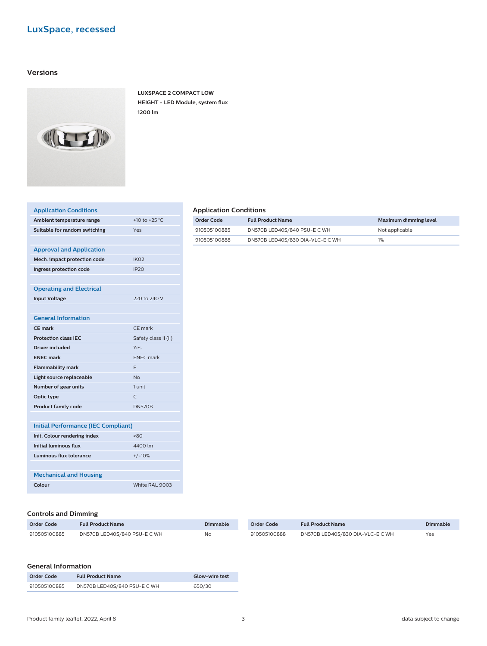# **LuxSpace, recessed**

# **Versions**



**LUXSPACE 2 COMPACT LOW HEIGHT - LED Module, system flux 1200 lm**

| +10 to +25 °C        |
|----------------------|
| Yes                  |
|                      |
|                      |
| IK <sub>02</sub>     |
| IP20                 |
|                      |
|                      |
| 220 to 240 V         |
|                      |
|                      |
| CF mark              |
| Safety class II (II) |
| Yes                  |
| <b>ENEC</b> mark     |
| F                    |
| <b>No</b>            |
| 1 unit               |
| $\subset$            |
| <b>DN570B</b>        |
|                      |
|                      |

| Initial Performance (IEC Compliant) |  |  |
|-------------------------------------|--|--|
|                                     |  |  |

| Init. Colour rendering index  | >80            |
|-------------------------------|----------------|
| Initial luminous flux         | 4400 lm        |
| Luminous flux tolerance       | $+/-10%$       |
|                               |                |
| <b>Mechanical and Housing</b> |                |
| Colour                        | White RAL 9003 |

## **Controls and Dimming**

| Order Code   | <b>Full Product Name</b>     | <b>Dimmable</b> | Order Code   | <b>Full Product Name</b>         | Dimmable |
|--------------|------------------------------|-----------------|--------------|----------------------------------|----------|
| 910505100885 | DN570B LED40S/840 PSU-E C WH | NI∩             | 910505100888 | DN570B LED40S/830 DIA-VLC-E C WH | Yes      |

# **General Information**

| Order Code   | <b>Full Product Name</b>     | <b>Glow-wire test</b> |
|--------------|------------------------------|-----------------------|
| 910505100885 | DN570B LED40S/840 PSU-E C WH | 650/30                |

# **Application Conditions**

| Order Code   | <b>Full Product Name</b>         | Maximum dimming level |
|--------------|----------------------------------|-----------------------|
| 910505100885 | DN570B LED40S/840 PSU-E C WH     | Not applicable        |
| 910505100888 | DN570B LED40S/830 DIA-VLC-E C WH | 1%                    |